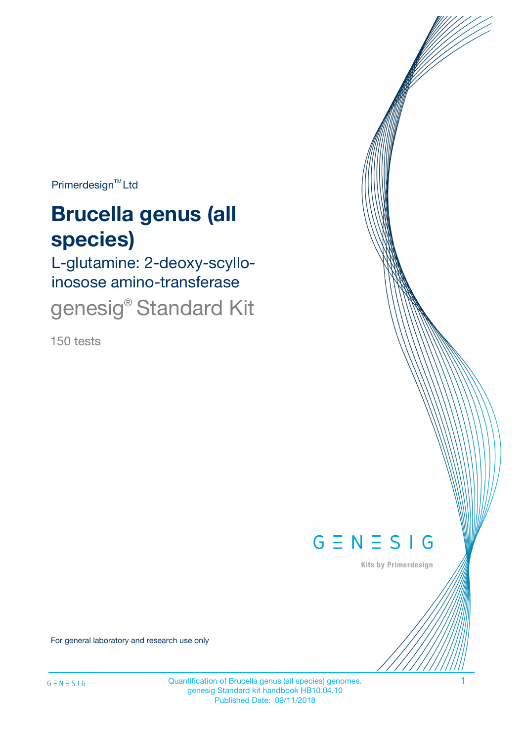Primerdesign<sup>™</sup>Ltd

# **Brucella genus (all species)**

L-glutamine: 2-deoxy-scylloinosose amino-transferase

genesig<sup>®</sup> Standard Kit

150 tests



Kits by Primerdesign

For general laboratory and research use only

Quantification of Brucella genus (all species) genomes. 1 genesig Standard kit handbook HB10.04.10 Published Date: 09/11/2018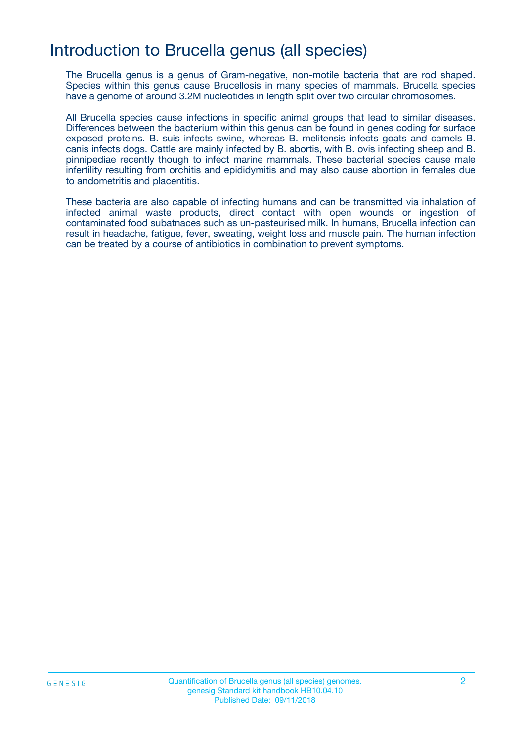# Introduction to Brucella genus (all species)

The Brucella genus is a genus of Gram-negative, non-motile bacteria that are rod shaped. Species within this genus cause Brucellosis in many species of mammals. Brucella species have a genome of around 3.2M nucleotides in length split over two circular chromosomes.

All Brucella species cause infections in specific animal groups that lead to similar diseases. Differences between the bacterium within this genus can be found in genes coding for surface exposed proteins. B. suis infects swine, whereas B. melitensis infects goats and camels B. canis infects dogs. Cattle are mainly infected by B. abortis, with B. ovis infecting sheep and B. pinnipediae recently though to infect marine mammals. These bacterial species cause male infertility resulting from orchitis and epididymitis and may also cause abortion in females due to andometritis and placentitis.

These bacteria are also capable of infecting humans and can be transmitted via inhalation of infected animal waste products, direct contact with open wounds or ingestion of contaminated food subatnaces such as un-pasteurised milk. In humans, Brucella infection can result in headache, fatigue, fever, sweating, weight loss and muscle pain. The human infection can be treated by a course of antibiotics in combination to prevent symptoms.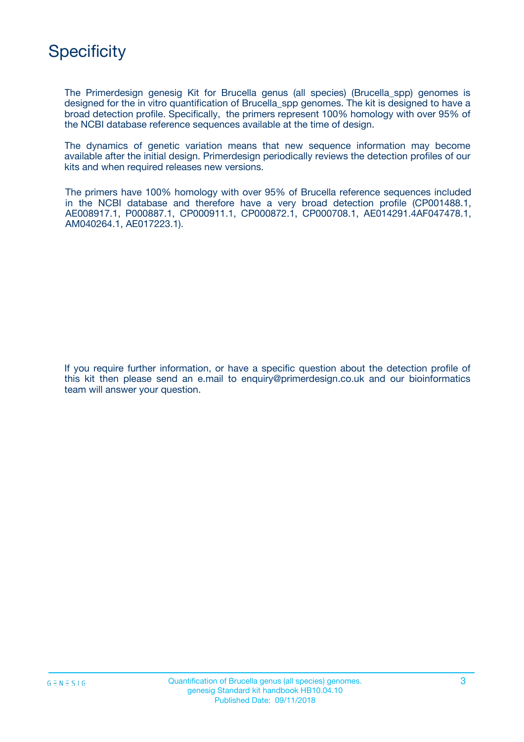

The Primerdesign genesig Kit for Brucella genus (all species) (Brucella\_spp) genomes is designed for the in vitro quantification of Brucella\_spp genomes. The kit is designed to have a broad detection profile. Specifically, the primers represent 100% homology with over 95% of the NCBI database reference sequences available at the time of design.

The dynamics of genetic variation means that new sequence information may become available after the initial design. Primerdesign periodically reviews the detection profiles of our kits and when required releases new versions.

The primers have 100% homology with over 95% of Brucella reference sequences included in the NCBI database and therefore have a very broad detection profile (CP001488.1, AE008917.1, P000887.1, CP000911.1, CP000872.1, CP000708.1, AE014291.4AF047478.1, AM040264.1, AE017223.1).

If you require further information, or have a specific question about the detection profile of this kit then please send an e.mail to enquiry@primerdesign.co.uk and our bioinformatics team will answer your question.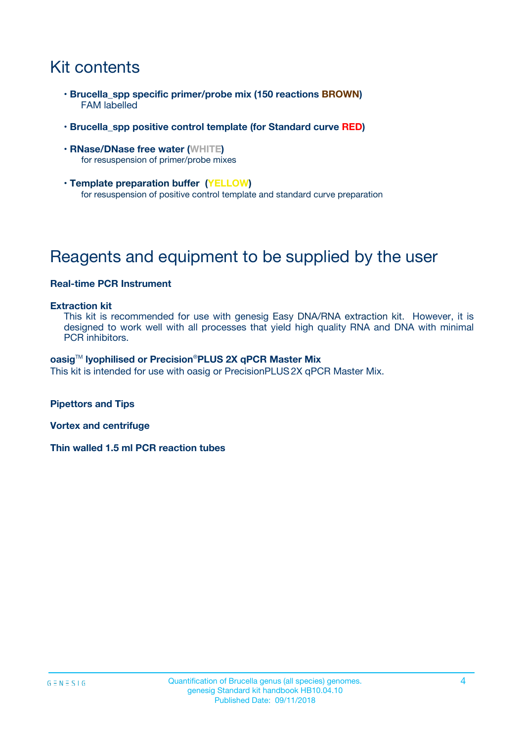# Kit contents

- **Brucella\_spp specific primer/probe mix (150 reactions BROWN)** FAM labelled
- **Brucella\_spp positive control template (for Standard curve RED)**
- **RNase/DNase free water (WHITE)** for resuspension of primer/probe mixes
- **Template preparation buffer (YELLOW)** for resuspension of positive control template and standard curve preparation

# Reagents and equipment to be supplied by the user

#### **Real-time PCR Instrument**

#### **Extraction kit**

This kit is recommended for use with genesig Easy DNA/RNA extraction kit. However, it is designed to work well with all processes that yield high quality RNA and DNA with minimal PCR inhibitors.

#### **oasig**TM **lyophilised or Precision**®**PLUS 2X qPCR Master Mix**

This kit is intended for use with oasig or PrecisionPLUS2X qPCR Master Mix.

**Pipettors and Tips**

**Vortex and centrifuge**

**Thin walled 1.5 ml PCR reaction tubes**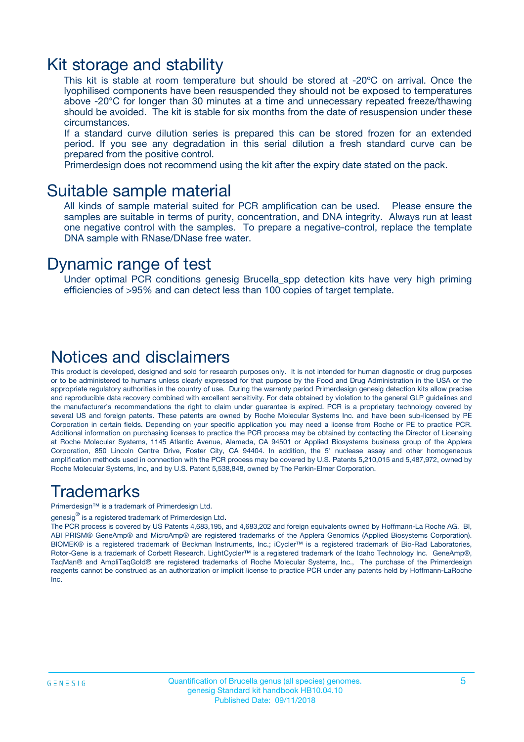### Kit storage and stability

This kit is stable at room temperature but should be stored at -20ºC on arrival. Once the lyophilised components have been resuspended they should not be exposed to temperatures above -20°C for longer than 30 minutes at a time and unnecessary repeated freeze/thawing should be avoided. The kit is stable for six months from the date of resuspension under these circumstances.

If a standard curve dilution series is prepared this can be stored frozen for an extended period. If you see any degradation in this serial dilution a fresh standard curve can be prepared from the positive control.

Primerdesign does not recommend using the kit after the expiry date stated on the pack.

### Suitable sample material

All kinds of sample material suited for PCR amplification can be used. Please ensure the samples are suitable in terms of purity, concentration, and DNA integrity. Always run at least one negative control with the samples. To prepare a negative-control, replace the template DNA sample with RNase/DNase free water.

### Dynamic range of test

Under optimal PCR conditions genesig Brucella\_spp detection kits have very high priming efficiencies of >95% and can detect less than 100 copies of target template.

### Notices and disclaimers

This product is developed, designed and sold for research purposes only. It is not intended for human diagnostic or drug purposes or to be administered to humans unless clearly expressed for that purpose by the Food and Drug Administration in the USA or the appropriate regulatory authorities in the country of use. During the warranty period Primerdesign genesig detection kits allow precise and reproducible data recovery combined with excellent sensitivity. For data obtained by violation to the general GLP guidelines and the manufacturer's recommendations the right to claim under guarantee is expired. PCR is a proprietary technology covered by several US and foreign patents. These patents are owned by Roche Molecular Systems Inc. and have been sub-licensed by PE Corporation in certain fields. Depending on your specific application you may need a license from Roche or PE to practice PCR. Additional information on purchasing licenses to practice the PCR process may be obtained by contacting the Director of Licensing at Roche Molecular Systems, 1145 Atlantic Avenue, Alameda, CA 94501 or Applied Biosystems business group of the Applera Corporation, 850 Lincoln Centre Drive, Foster City, CA 94404. In addition, the 5' nuclease assay and other homogeneous amplification methods used in connection with the PCR process may be covered by U.S. Patents 5,210,015 and 5,487,972, owned by Roche Molecular Systems, Inc, and by U.S. Patent 5,538,848, owned by The Perkin-Elmer Corporation.

### Trademarks

Primerdesign™ is a trademark of Primerdesign Ltd.

genesig $^\circledR$  is a registered trademark of Primerdesign Ltd.

The PCR process is covered by US Patents 4,683,195, and 4,683,202 and foreign equivalents owned by Hoffmann-La Roche AG. BI, ABI PRISM® GeneAmp® and MicroAmp® are registered trademarks of the Applera Genomics (Applied Biosystems Corporation). BIOMEK® is a registered trademark of Beckman Instruments, Inc.; iCycler™ is a registered trademark of Bio-Rad Laboratories, Rotor-Gene is a trademark of Corbett Research. LightCycler™ is a registered trademark of the Idaho Technology Inc. GeneAmp®, TaqMan® and AmpliTaqGold® are registered trademarks of Roche Molecular Systems, Inc., The purchase of the Primerdesign reagents cannot be construed as an authorization or implicit license to practice PCR under any patents held by Hoffmann-LaRoche Inc.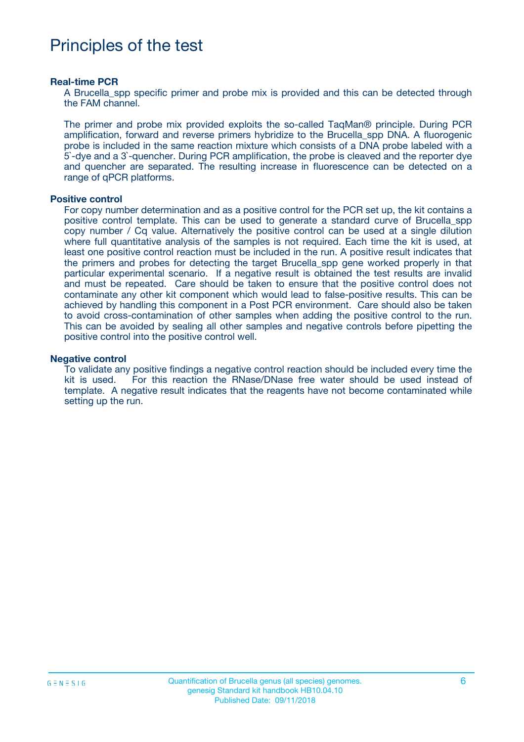## Principles of the test

#### **Real-time PCR**

A Brucella spp specific primer and probe mix is provided and this can be detected through the FAM channel.

The primer and probe mix provided exploits the so-called TaqMan® principle. During PCR amplification, forward and reverse primers hybridize to the Brucella\_spp DNA. A fluorogenic probe is included in the same reaction mixture which consists of a DNA probe labeled with a 5`-dye and a 3`-quencher. During PCR amplification, the probe is cleaved and the reporter dye and quencher are separated. The resulting increase in fluorescence can be detected on a range of qPCR platforms.

#### **Positive control**

For copy number determination and as a positive control for the PCR set up, the kit contains a positive control template. This can be used to generate a standard curve of Brucella\_spp copy number / Cq value. Alternatively the positive control can be used at a single dilution where full quantitative analysis of the samples is not required. Each time the kit is used, at least one positive control reaction must be included in the run. A positive result indicates that the primers and probes for detecting the target Brucella\_spp gene worked properly in that particular experimental scenario. If a negative result is obtained the test results are invalid and must be repeated. Care should be taken to ensure that the positive control does not contaminate any other kit component which would lead to false-positive results. This can be achieved by handling this component in a Post PCR environment. Care should also be taken to avoid cross-contamination of other samples when adding the positive control to the run. This can be avoided by sealing all other samples and negative controls before pipetting the positive control into the positive control well.

#### **Negative control**

To validate any positive findings a negative control reaction should be included every time the kit is used. For this reaction the RNase/DNase free water should be used instead of template. A negative result indicates that the reagents have not become contaminated while setting up the run.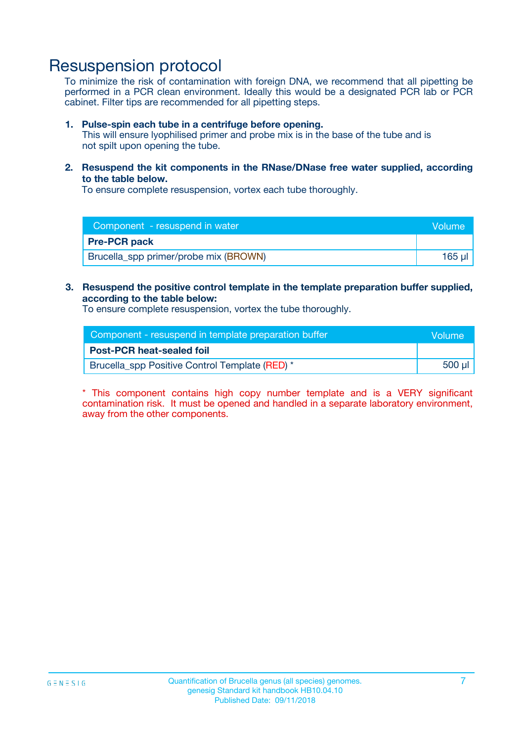### Resuspension protocol

To minimize the risk of contamination with foreign DNA, we recommend that all pipetting be performed in a PCR clean environment. Ideally this would be a designated PCR lab or PCR cabinet. Filter tips are recommended for all pipetting steps.

#### **1. Pulse-spin each tube in a centrifuge before opening.**

This will ensure lyophilised primer and probe mix is in the base of the tube and is not spilt upon opening the tube.

**2. Resuspend the kit components in the RNase/DNase free water supplied, according to the table below.**

To ensure complete resuspension, vortex each tube thoroughly.

| Component - resuspend in water        | Volume |
|---------------------------------------|--------|
| <b>Pre-PCR pack</b>                   |        |
| Brucella_spp primer/probe mix (BROWN) | 165 ul |

### **3. Resuspend the positive control template in the template preparation buffer supplied, according to the table below:**

To ensure complete resuspension, vortex the tube thoroughly.

| Component - resuspend in template preparation buffer |        |  |
|------------------------------------------------------|--------|--|
| <b>Post-PCR heat-sealed foil</b>                     |        |  |
| Brucella_spp Positive Control Template (RED) *       | 500 µl |  |

\* This component contains high copy number template and is a VERY significant contamination risk. It must be opened and handled in a separate laboratory environment, away from the other components.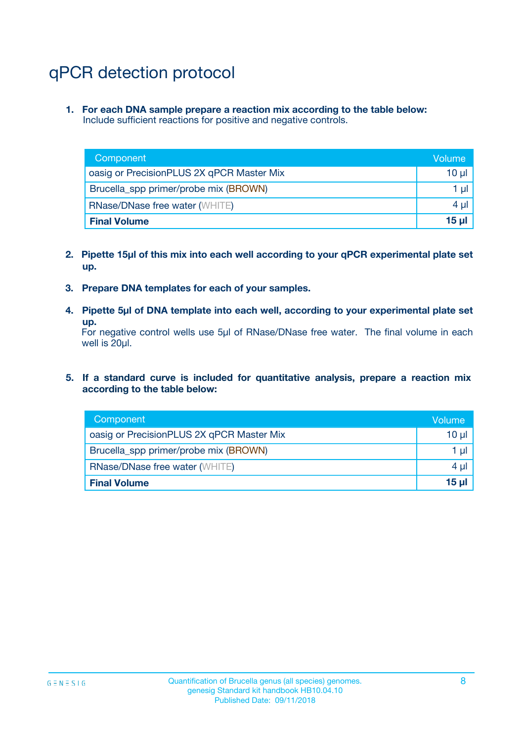# qPCR detection protocol

**1. For each DNA sample prepare a reaction mix according to the table below:** Include sufficient reactions for positive and negative controls.

| Component                                 | Volume   |
|-------------------------------------------|----------|
| oasig or PrecisionPLUS 2X qPCR Master Mix | $10 \mu$ |
| Brucella_spp primer/probe mix (BROWN)     | 1 µl     |
| <b>RNase/DNase free water (WHITE)</b>     | $4 \mu$  |
| <b>Final Volume</b>                       | 15 ul    |

- **2. Pipette 15µl of this mix into each well according to your qPCR experimental plate set up.**
- **3. Prepare DNA templates for each of your samples.**
- **4. Pipette 5µl of DNA template into each well, according to your experimental plate set up.**

For negative control wells use 5µl of RNase/DNase free water. The final volume in each well is 20µl.

**5. If a standard curve is included for quantitative analysis, prepare a reaction mix according to the table below:**

| Component                                 | Volume   |
|-------------------------------------------|----------|
| oasig or PrecisionPLUS 2X qPCR Master Mix | 10 µl    |
| Brucella_spp primer/probe mix (BROWN)     | 1 µI     |
| <b>RNase/DNase free water (WHITE)</b>     | $4 \mu$  |
| <b>Final Volume</b>                       | $15 \mu$ |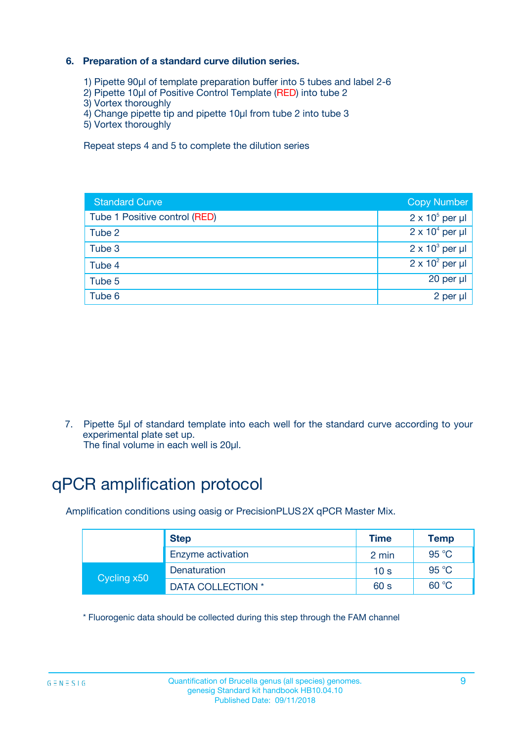### **6. Preparation of a standard curve dilution series.**

- 1) Pipette 90µl of template preparation buffer into 5 tubes and label 2-6
- 2) Pipette 10µl of Positive Control Template (RED) into tube 2
- 3) Vortex thoroughly
- 4) Change pipette tip and pipette 10µl from tube 2 into tube 3
- 5) Vortex thoroughly

Repeat steps 4 and 5 to complete the dilution series

| <b>Standard Curve</b>         | <b>Copy Number</b>     |
|-------------------------------|------------------------|
| Tube 1 Positive control (RED) | $2 \times 10^5$ per µl |
| Tube 2                        | $2 \times 10^4$ per µl |
| Tube 3                        | $2 \times 10^3$ per µl |
| Tube 4                        | $2 \times 10^2$ per µl |
| Tube 5                        | 20 per µl              |
| Tube 6                        | 2 per ul               |

7. Pipette 5µl of standard template into each well for the standard curve according to your experimental plate set up.

The final volume in each well is 20µl.

# qPCR amplification protocol

Amplification conditions using oasig or PrecisionPLUS2X qPCR Master Mix.

|             | <b>Step</b>       | <b>Time</b>     | Temp           |
|-------------|-------------------|-----------------|----------------|
|             | Enzyme activation | 2 min           | $95^{\circ}$ C |
| Cycling x50 | Denaturation      | 10 <sub>s</sub> | 95 $°C$        |
|             | DATA COLLECTION * | 60 s            | 60 °C          |

\* Fluorogenic data should be collected during this step through the FAM channel